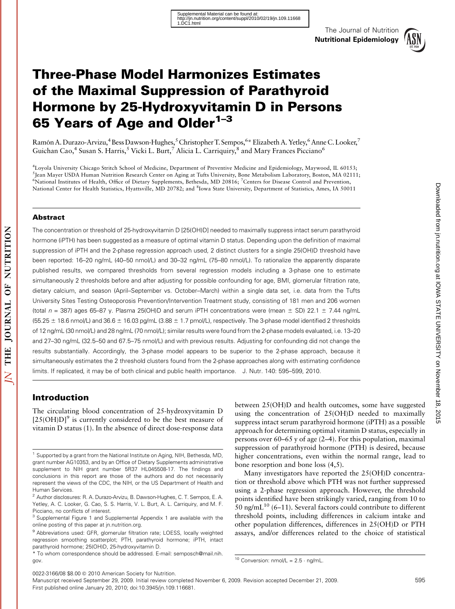

# Three-Phase Model Harmonizes Estimates of the Maximal Suppression of Parathyroid Hormone by 25-Hydroxyvitamin D in Persons 65 Years of Age and Older<sup>1-3</sup>

Ramón A. Durazo-Arvizu,<sup>4</sup> Bess Dawson-Hughes, <sup>5</sup> Christopher T. Sempos, <sup>6</sup> \* Elizabeth A. Yetley, <sup>6</sup> Anne C. Looker, <sup>7</sup> Guichan Cao,<sup>4</sup> Susan S. Harris,<sup>5</sup> Vicki L. Burt,<sup>7</sup> Alicia L. Carriquiry,<sup>8</sup> and Mary Frances Picciano<sup>6</sup>

4 Loyola University Chicago Stritch School of Medicine, Department of Preventive Medicine and Epidemiology, Maywood, IL 60153; <sup>5</sup>Jean Mayer USDA Human Nutrition Research Center on Aging at Tufts University, Bone Metabolism Laboratory, Boston, MA 02111;<br><sup>6</sup>National Institutes of Health, Office of Dietary Supplements, Bethesda, MD 20816; <sup>7</sup>Centers National Center for Health Statistics, Hyattsville, MD 20782; and <sup>8</sup>Iowa State University, Department of Statistics, Ames, IA 50011

#### Abstract

The concentration or threshold of 25-hydroxyvitamin D [25(OH)D] needed to maximally suppress intact serum parathyroid hormone (iPTH) has been suggested as a measure of optimal vitamin D status. Depending upon the definition of maximal suppression of iPTH and the 2-phase regression approach used, 2 distinct clusters for a single 25(OH)D threshold have been reported: 16–20 ng/mL (40–50 nmol/L) and 30–32 ng/mL (75–80 nmol/L). To rationalize the apparently disparate published results, we compared thresholds from several regression models including a 3-phase one to estimate simultaneously 2 thresholds before and after adjusting for possible confounding for age, BMI, glomerular filtration rate, dietary calcium, and season (April–September vs. October–March) within a single data set, i.e. data from the Tufts University Sites Testing Osteoporosis Prevention/Intervention Treatment study, consisting of 181 men and 206 women (total  $n = 387$ ) ages 65–87 y. Plasma 25(OH)D and serum iPTH concentrations were (mean  $\pm$  SD) 22.1  $\pm$  7.44 ng/mL  $(55.25 \pm 18.6 \text{ nmol/L})$  and  $36.6 \pm 16.03 \text{ pg/mL}$  (3.88  $\pm 1.7 \text{ pmol/L}$ , respectively. The 3-phase model identified 2 thresholds of 12 ng/mL (30 nmol/L) and 28 ng/mL (70 nmol/L); similar results were found from the 2-phase models evaluated, i.e. 13–20 and 27–30 ng/mL (32.5–50 and 67.5–75 nmol/L) and with previous results. Adjusting for confounding did not change the results substantially. Accordingly, the 3-phase model appears to be superior to the 2-phase approach, because it simultaneously estimates the 2 threshold clusters found from the 2-phase approaches along with estimating confidence limits. If replicated, it may be of both clinical and public health importance. J. Nutr. 140: 595–599, 2010.

## Introduction

The circulating blood concentration of 25-hydroxyvitamin D  $[25(OH)D]$ <sup>9</sup> is currently considered to be the best measure of vitamin D status (1). In the absence of direct dose-response data between 25(OH)D and health outcomes, some have suggested using the concentration of 25(OH)D needed to maximally suppress intact serum parathyroid hormone (iPTH) as a possible approach for determining optimal vitamin D status, especially in persons over 60–65 y of age (2–4). For this population, maximal suppression of parathyroid hormone (PTH) is desired, because higher concentrations, even within the normal range, lead to bone resorption and bone loss (4,5).

Many investigators have reported the 25(OH)D concentration or threshold above which PTH was not further suppressed using a 2-phase regression approach. However, the threshold points identified have been strikingly varied, ranging from 10 to  $50$  ng/mL<sup>10</sup> (6–11). Several factors could contribute to different threshold points, including differences in calcium intake and other population differences, differences in 25(OH)D or PTH assays, and/or differences related to the choice of statistical

Doward the Intertition.org at IOWA STATE UNIVERSITY on November 18, 2015

2015

Downloaded from jn.nutrition.org at IOWA STATE UNIVERSITY on November 18,

<sup>&</sup>lt;sup>1</sup> Supported by a grant from the National Institute on Aging, NIH, Bethesda, MD, grant number AG10353, and by an Office of Dietary Supplements administrative supplement to NIH grant number 5R37 HL045508-17. The findings and conclusions in this report are those of the authors and do not necessarily represent the views of the CDC, the NIH, or the US Department of Health and Human Services.

<sup>2</sup> Author disclosures: R. A. Durazo-Arvizu, B. Dawson-Hughes, C. T. Sempos, E. A. Yetley, A. C. Looker, G. Cao, S. S. Harris, V. L. Burt, A. L. Carriquiry, and M. F. Picciano, no conflicts of interest.

<sup>&</sup>lt;sup>3</sup> Supplemental Figure 1 and Supplemental Appendix 1 are available with the online posting of this paper at jn.nutrition.org.

<sup>&</sup>lt;sup>9</sup> Abbreviations used: GFR, glomerular filtration rate; LOESS, locally weighted regression smoothing scatterplot; PTH, parathyroid hormone; iPTH, intact parathyroid hormone; 25(OH)D, 25-hydroxyvitamin D.

<sup>\*</sup> To whom correspondence should be addressed. E-mail: semposch@mail.nih. gov.

 $10$  Conversion: nmol/L =  $2.5 \cdot$  ng/mL.

Manuscript received September 29, 2009. Initial review completed November 6, 2009. Revision accepted December 21, 2009. 595 First published online January 20, 2010; doi:10.3945/jn.109.116681.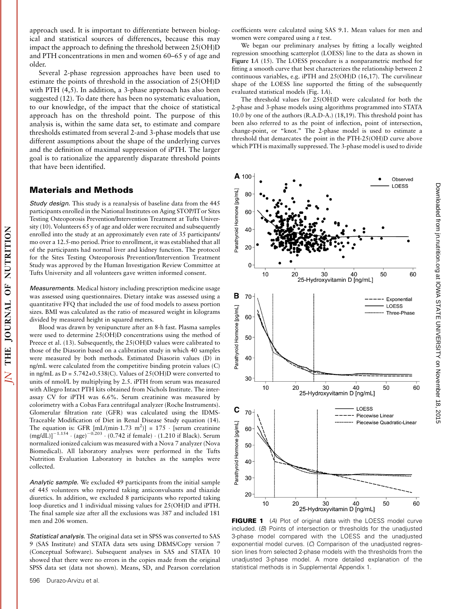approach used. It is important to differentiate between biological and statistical sources of differences, because this may impact the approach to defining the threshold between 25(OH)D and PTH concentrations in men and women 60–65 y of age and older.

Several 2-phase regression approaches have been used to estimate the points of threshold in the association of 25(OH)D with PTH (4,5). In addition, a 3-phase approach has also been suggested (12). To date there has been no systematic evaluation, to our knowledge, of the impact that the choice of statistical approach has on the threshold point. The purpose of this analysis is, within the same data set, to estimate and compare thresholds estimated from several 2-and 3-phase models that use different assumptions about the shape of the underlying curves and the definition of maximal suppression of iPTH. The larger goal is to rationalize the apparently disparate threshold points that have been identified.

## Materials and Methods

NUTRITION

 $\overline{0}$ 

**JOURNAL** 

**THE** 

 $\overline{\Delta}$ 

Study design. This study is a reanalysis of baseline data from the 445 participants enrolled in the National Institutes on Aging STOP/IT or Sites Testing Osteoporosis Prevention/Intervention Treatment at Tufts University (10). Volunteers 65 y of age and older were recruited and subsequently enrolled into the study at an approximately even rate of 35 participants/ mo over a 12.5-mo period. Prior to enrollment, it was established that all of the participants had normal liver and kidney function. The protocol for the Sites Testing Osteoporosis Prevention/Intervention Treatment Study was approved by the Human Investigation Review Committee at Tufts University and all volunteers gave written informed consent.

Measurements. Medical history including prescription medicine usage was assessed using questionnaires. Dietary intake was assessed using a quantitative FFQ that included the use of food models to assess portion sizes. BMI was calculated as the ratio of measured weight in kilograms divided by measured height in squared meters.

Blood was drawn by venipuncture after an 8-h fast. Plasma samples were used to determine 25(OH)D concentrations using the method of Preece et al. (13). Subsequently, the 25(OH)D values were calibrated to those of the Diasorin based on a calibration study in which 40 samples were measured by both methods. Estimated Diasorin values (D) in ng/mL were calculated from the competitive binding protein values (C) in ng/mL as  $D = 5.742+0.538(C)$ . Values of 25(OH)D were converted to units of nmol/L by multiplying by 2.5. iPTH from serum was measured with Allegro Intact PTH kits obtained from Nichols Institute. The interassay CV for iPTH was 6.6%. Serum creatinine was measured by colorimetry with a Cobas Fara centrifugal analyzer (Roche Instruments). Glomerular filtration rate (GFR) was calculated using the IDMS-Traceable Modification of Diet in Renal Disease Study equation (14). The equation is: GFR [mL/(min $\cdot$ 1.73 m<sup>2</sup>)] = 175  $\cdot$  [serum creatinine  $(mg/dL)]^{-1.154} \cdot (age)^{-0.203} \cdot (0.742$  if female)  $\cdot$  (1.210 if Black). Serum normalized ionized calcium was measured with a Nova 7 analyzer (Nova Biomedical). All laboratory analyses were performed in the Tufts Nutrition Evaluation Laboratory in batches as the samples were collected.

Analytic sample. We excluded 49 participants from the initial sample of 445 volunteers who reported taking anticonvulsants and thiazide diuretics. In addition, we excluded 8 participants who reported taking loop diuretics and 1 individual missing values for 25(OH)D and iPTH. The final sample size after all the exclusions was 387 and included 181 men and 206 women.

Statistical analysis. The original data set in SPSS was converted to SAS 9 (SAS Institute) and STATA data sets using DBMS/Copy version 7 (Conceptual Software). Subsequent analyses in SAS and STATA 10 showed that there were no errors in the copies made from the original SPSS data set (data not shown). Means, SD, and Pearson correlation coefficients were calculated using SAS 9.1. Mean values for men and women were compared using a t test.

We began our preliminary analyses by fitting a locally weighted regression smoothing scatterplot (LOESS) line to the data as shown in Figure 1A (15). The LOESS procedure is a nonparametric method for fitting a smooth curve that best characterizes the relationship between 2 continuous variables, e.g. iPTH and 25(OH)D (16,17). The curvilinear shape of the LOESS line supported the fitting of the subsequently evaluated statistical models (Fig. 1A).

The threshold values for 25(OH)D were calculated for both the 2-phase and 3-phase models using algorithms programmed into STATA 10.0 by one of the authors (R.A.D-A.) (18,19). This threshold point has been also referred to as the point of inflection, point of intersection, change-point, or "knot." The 2-phase model is used to estimate a threshold that demarcates the point in the PTH-25(OH)D curve above which PTH is maximally suppressed. The 3-phase model is used to divide



**FIGURE 1** (A) Plot of original data with the LOESS model curve included. (B) Points of intersection or thresholds for the unadjusted 3-phase model compared with the LOESS and the unadjusted exponential model curves. (C) Comparison of the unadjusted regression lines from selected 2-phase models with the thresholds from the unadjusted 3-phase model. A more detailed explanation of the statistical methods is in Supplemental Appendix 1.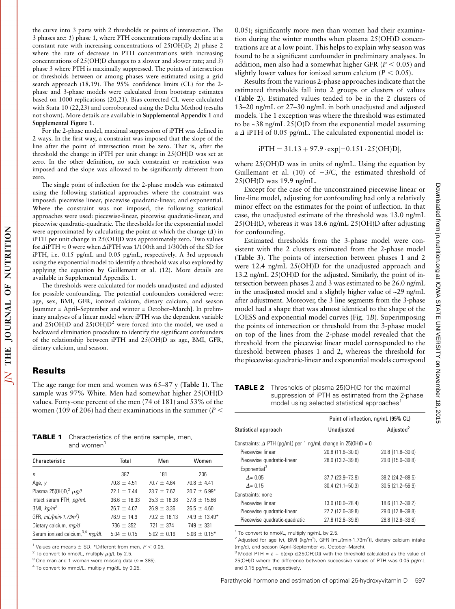the curve into 3 parts with 2 thresholds or points of intersection. The 3 phases are: 1) phase 1, where PTH concentrations rapidly decline at a constant rate with increasing concentrations of 25(OH)D; 2) phase 2 where the rate of decrease in PTH concentrations with increasing concentrations of 25(OH)D changes to a slower and slower rate; and 3) phase 3 where PTH is maximally suppressed. The points of intersection or thresholds between or among phases were estimated using a grid search approach (18,19). The 95% confidence limits (CL) for the 2 phase and 3-phase models were calculated from bootstrap estimates based on 1000 replications (20,21). Bias corrected CL were calculated with Stata 10 (22,23) and corroborated using the Delta Method (results not shown). More details are available in Supplemental Appendix 1 and Supplemental Figure 1.

For the 2-phase model, maximal suppression of iPTH was defined in 2 ways. In the first way, a constraint was imposed that the slope of the line after the point of intersection must be zero. That is, after the threshold the change in iPTH per unit change in 25(OH)D was set at zero. In the other definition, no such constraint or restriction was imposed and the slope was allowed to be significantly different from zero.

The single point of inflection for the 2-phase models was estimated using the following statistical approaches where the constraint was imposed: piecewise linear, piecewise quadratic-linear, and exponential. Where the constraint was not imposed, the following statistical approaches were used: piecewise-linear, piecewise quadratic-linear, and piecewise quadratic-quadratic. The thresholds for the exponential model were approximated by calculating the point at which the change  $(\Delta)$  in iPTH per unit change in 25(OH)D was approximately zero. Two values for  $\triangle$ iPTH  $\approx$  0 were when  $\triangle$ iPTH was 1/100th and 1/300th of the SD for iPTH, i.e. 0.15 pg/mL and 0.05 pg/mL, respectively. A 3rd approach using the exponential model to identify a threshold was also explored by applying the equation by Guillemant et al. (12). More details are available in Supplemental Appendix 1.

The thresholds were calculated for models unadjusted and adjusted for possible confounding. The potential confounders considered were: age, sex, BMI, GFR, ionized calcium, dietary calcium, and season [summer = April–September and winter = October–March]. In preliminary analyses of a linear model where iPTH was the dependent variable and  $25(OH)D$  and  $25(OH)D<sup>2</sup>$  were forced into the model, we used a backward elimination procedure to identify the significant confounders of the relationship between iPTH and 25(OH)D as age, BMI, GFR, dietary calcium, and season.

#### Results

NUTRITION

**OF** 

JOURNAL

THE

 $\overline{\Delta}$ 

The age range for men and women was 65–87 y (Table 1). The sample was 97% White. Men had somewhat higher 25(OH)D values. Forty-one percent of the men (74 of 181) and 53% of the women (109 of 206) had their examinations in the summer ( $P <$ 

**TABLE 1** Characteristics of the entire sample, men, and women<sup>1</sup>

| Characteristic                         | Total            | Men              | Women              |
|----------------------------------------|------------------|------------------|--------------------|
| n                                      | 387              | 181              | 206                |
| Age, y                                 | $70.8 \pm 4.51$  | $70.7 \pm 4.64$  | $70.8 \pm 4.41$    |
| Plasma 25(OH)D, <sup>2</sup> $\mu$ q/L | $22.1 \pm 7.44$  | $23.7 \pm 7.62$  | $20.7 \pm 6.99*$   |
| Intact serum PTH, pg/mL                | $36.6 \pm 16.03$ | $35.3 \pm 16.38$ | $37.8 \pm 15.66$   |
| BMI, $kg/m^2$                          | $26.7 \pm 4.07$  | $26.9 \pm 3.36$  | $26.5 \pm 4.60$    |
| GFR, mL/(min-1.73m <sup>2</sup> )      | $76.9 \pm 14.9$  | $79.2 \pm 16.13$ | $74.9 \pm 13.49^*$ |
| Dietary calcium, mg/d                  | 736 $\pm$ 352    | $721 \pm 374$    | $749 \pm 331$      |
| Serum ionized calcium, 3,4 mq/dL       | $5.04 \pm 0.15$  | $5.02 \pm 0.16$  | $5.06 \pm 0.15^*$  |

<sup>1</sup> Values are means  $\pm$  SD. \*Different from men,  $P < 0.05$ .

 $2$  To convert to nmol/L, multiply  $\mu$ g/L by 2.5.

<sup>3</sup> One man and 1 woman were missing data ( $n = 385$ ).

<sup>4</sup> To convert to mmol/L, multiply mg/dL by 0.25.

0.05); significantly more men than women had their examination during the winter months when plasma 25(OH)D concentrations are at a low point. This helps to explain why season was found to be a significant confounder in preliminary analyses. In addition, men also had a somewhat higher GFR ( $P < 0.05$ ) and slightly lower values for ionized serum calcium ( $P < 0.05$ ).

Results from the various 2-phase approaches indicate that the estimated thresholds fall into 2 groups or clusters of values (Table 2). Estimated values tended to be in the 2 clusters of 13–20 ng/mL or 27–30 ng/mL in both unadjusted and adjusted models. The 1 exception was where the threshold was estimated to be ~38 ng/mL 25(O)D from the exponential model assuming a  $\Delta$  iPTH of 0.05 pg/mL. The calculated exponential model is:

$$
iPTH=31.13+97.9\cdot exp[-0.151\cdot 25(OH)D],
$$

where 25(OH)D was in units of ng/mL. Using the equation by Guillemant et al. (10) of  $-3/C$ , the estimated threshold of 25(OH)D was 19.9 ng/mL.

Except for the case of the unconstrained piecewise linear or line-line model, adjusting for confounding had only a relatively minor effect on the estimates for the point of inflection. In that case, the unadjusted estimate of the threshold was 13.0 ng/mL 25(OH)D, whereas it was 18.6 ng/mL 25(OH)D after adjusting for confounding.

Estimated thresholds from the 3-phase model were consistent with the 2 clusters estimated from the 2-phase model (Table 3). The points of intersection between phases 1 and 2 were 12.4 ng/mL 25(OH)D for the unadjusted approach and 13.2 ng/mL 25(OH)D for the adjusted. Similarly, the point of intersection between phases 2 and 3 was estimated to be 26.0 ng/mL in the unadjusted model and a slightly higher value of ~29 ng/mL after adjustment. Moreover, the 3 line segments from the 3-phase model had a shape that was almost identical to the shape of the LOESS and exponential model curves (Fig. 1B). Superimposing the points of intersection or threshold from the 3-phase model on top of the lines from the 2-phase model revealed that the threshold from the piecewise linear model corresponded to the threshold between phases 1 and 2, whereas the threshold for the piecewise quadratic-linear and exponential models correspond

**TABLE 2** Thresholds of plasma 25(OH)D for the maximal suppression of iPTH as estimated from the 2-phase model using selected statistical approaches<sup>1</sup>

|                                                                     | Point of inflection, ng/mL (95% CL) |                       |  |  |
|---------------------------------------------------------------------|-------------------------------------|-----------------------|--|--|
| Statistical approach                                                | Unadjusted                          | Adjusted <sup>2</sup> |  |  |
| Constraints: $\Delta$ PTH (pq/mL) per 1 ng/mL change in 25(OH)D = 0 |                                     |                       |  |  |
| Piecewise linear                                                    | 20.8 (11.6-30.0)                    | 20.8 (11.8-30.0)      |  |  |
| Piecewise quadratic-linear                                          | 28.0 (13.2-39.8)                    | 29.0 (15.0-39.8)      |  |  |
| Exponential <sup>3</sup>                                            |                                     |                       |  |  |
| $\Delta$ = 0.05                                                     | 37.7 (23.9-73.9)                    | 38.2 (24.2-88.5)      |  |  |
| $A = 0.15$                                                          | $30.4(21.1 - 50.3)$                 | $30.5(21.2 - 56.9)$   |  |  |
| Constraints: none                                                   |                                     |                       |  |  |
| Piecewise linear                                                    | 13.0 (10.0-28.4)                    | 18.6 (11.2-39.2)      |  |  |
| Piecewise quadratic-linear                                          | 27.2 (12.6-39.8)                    | 29.0 (12.8-39.8)      |  |  |
| Piecewise quadratic-quadratic                                       | 27.8 (12.6-39.8)                    | 28.8 (12.8-39.8)      |  |  |

<sup>1</sup> To convert to nmol/L, multiply ng/mL by 2.5.

<sup>2</sup> Adjusted for age (y), BMI (kg/m<sup>2</sup>), GFR [mL/(min·1.73m<sup>2</sup>)], dietary calcium intake (mg/d), and season (April–September vs. October–March).

 $3$  Model PTH = a + b(exp c[25(OH)D]) with the threshold calculated as the value of 25(OH)D where the difference between successive values of PTH was 0.05 pg/mL and 0.15 pg/mL, respectively.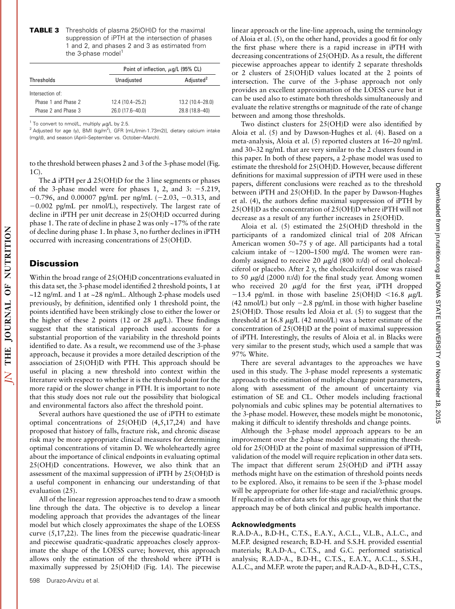| <b>TABLE 3</b> Thresholds of plasma 25(OH)D for the maximal |
|-------------------------------------------------------------|
| suppression of iPTH at the intersection of phases           |
| 1 and 2, and phases 2 and 3 as estimated from               |
| the 3-phase model <sup>1</sup>                              |

|                     |                  | Point of inflection, $\mu$ g/L (95% CL) |  |
|---------------------|------------------|-----------------------------------------|--|
| Thresholds          | Unadjusted       | Adjusted <sup>2</sup>                   |  |
| Intersection of:    |                  |                                         |  |
| Phase 1 and Phase 2 | 12.4 (10.4-25.2) | 13.2 (10.4-28.0)                        |  |
| Phase 2 and Phase 3 | 26.0 (17.6-40.0) | 28.8 (18.8-40)                          |  |

<sup>1</sup> To convert to nmol/L, multiply  $\mu$ g/L by 2.5.

<sup>2</sup> Adjusted for age (y), BMI (kg/m<sup>2</sup>), GFR [mL/(min·1.73m2)], dietary calcium intake (mg/d), and season (April–September vs. October–March).

to the threshold between phases 2 and 3 of the 3-phase model (Fig. 1C).

The  $\Delta$  iPTH per  $\Delta$  25(OH)D for the 3 line segments or phases of the 3-phase model were for phases 1, 2, and 3:  $-5.219$ ,  $-0.796$ , and 0.00007 pg/mL per ng/mL ( $-2.03$ ,  $-0.313$ , and  $-0.002$  pg/mL per nmol/L), respectively. The largest rate of decline in iPTH per unit decrease in 25(OH)D occurred during phase 1. The rate of decline in phase 2 was only  $\sim$  17% of the rate of decline during phase 1. In phase 3, no further declines in iPTH occurred with increasing concentrations of 25(OH)D.

## **Discussion**

Within the broad range of 25(OH)D concentrations evaluated in this data set, the 3-phase model identified 2 threshold points, 1 at ~12 ng/mL and 1 at ~28 ng/mL. Although 2-phase models used previously, by definition, identified only 1 threshold point, the points identified have been strikingly close to either the lower or the higher of these 2 points (12 or 28  $\mu$ g/L). These findings suggest that the statistical approach used accounts for a substantial proportion of the variability in the threshold points identified to date. As a result, we recommend use of the 3-phase approach, because it provides a more detailed description of the association of 25(OH)D with PTH. This approach should be useful in placing a new threshold into context within the literature with respect to whether it is the threshold point for the more rapid or the slower change in PTH. It is important to note that this study does not rule out the possibility that biological and environmental factors also affect the threshold point.

Several authors have questioned the use of iPTH to estimate optimal concentrations of 25(OH)D (4,5,17,24) and have proposed that history of falls, fracture risk, and chronic disease risk may be more appropriate clinical measures for determining optimal concentrations of vitamin D. We wholeheartedly agree about the importance of clinical endpoints in evaluating optimal 25(OH)D concentrations. However, we also think that an assessment of the maximal suppression of iPTH by 25(OH)D is a useful component in enhancing our understanding of that evaluation (25).

All of the linear regression approaches tend to draw a smooth line through the data. The objective is to develop a linear modeling approach that provides the advantages of the linear model but which closely approximates the shape of the LOESS curve (5,17,22). The lines from the piecewise quadratic-linear and piecewise quadratic-quadratic approaches closely approximate the shape of the LOESS curve; however, this approach allows only the estimation of the threshold where iPTH is maximally suppressed by 25(OH)D (Fig. 1A). The piecewise

linear approach or the line-line approach, using the terminology of Aloia et al. (5), on the other hand, provides a good fit for only the first phase where there is a rapid increase in iPTH with decreasing concentrations of 25(OH)D. As a result, the different piecewise approaches appear to identify 2 separate thresholds or 2 clusters of 25(OH)D values located at the 2 points of intersection. The curve of the 3-phase approach not only provides an excellent approximation of the LOESS curve but it can be used also to estimate both thresholds simultaneously and evaluate the relative strengths or magnitude of the rate of change between and among those thresholds.

Two distinct clusters for 25(OH)D were also identified by Aloia et al. (5) and by Dawson-Hughes et al. (4). Based on a meta-analysis, Aloia et al. (5) reported clusters at 16–20 ng/mL and 30–32 ng/mL that are very similar to the 2 clusters found in this paper. In both of these papers, a 2-phase model was used to estimate the threshold for 25(OH)D. However, because different definitions for maximal suppression of iPTH were used in these papers, different conclusions were reached as to the threshold between iPTH and 25(OH)D. In the paper by Dawson-Hughes et al. (4), the authors define maximal suppression of iPTH by 25(OH)D as the concentration of 25(OH)D where iPTH will not decrease as a result of any further increases in 25(OH)D.

Aloia et al. (5) estimated the 25(OH)D threshold in the participants of a randomized clinical trial of 208 African American women 50–75 y of age. All participants had a total calcium intake of  $\sim$ 1200–1500 mg/d. The women were randomly assigned to receive 20  $\mu$ g/d (800 IU/d) of oral cholecalciferol or placebo. After 2 y, the cholecalciferol dose was raised to 50  $\mu$ g/d (2000 IU/d) for the final study year. Among women who received 20  $\mu$ g/d for the first year, iPTH dropped  $-13.4$  pg/mL in those with baseline 25(OH)D <16.8  $\mu$ g/L  $(42 \text{ nmol/L})$  but only  $-2.8 \text{ pg/mL}$  in those with higher baseline 25(OH)D. Those results led Aloia et al. (5) to suggest that the threshold at 16.8  $\mu$ g/L (42 nmol/L) was a better estimate of the concentration of 25(OH)D at the point of maximal suppression of iPTH. Interestingly, the results of Aloia et al. in Blacks were very similar to the present study, which used a sample that was 97% White.

There are several advantages to the approaches we have used in this study. The 3-phase model represents a systematic approach to the estimation of multiple change point parameters, along with assessment of the amount of uncertainty via estimation of SE and CL. Other models including fractional polynomials and cubic splines may be potential alternatives to the 3-phase model. However, these models might be monotonic, making it difficult to identify thresholds and change points.

Although the 3-phase model approach appears to be an improvement over the 2-phase model for estimating the threshold for 25(OH)D at the point of maximal suppression of iPTH, validation of the model will require replication in other data sets. The impact that different serum 25(OH)D and iPTH assay methods might have on the estimation of threshold points needs to be explored. Also, it remains to be seen if the 3-phase model will be appropriate for other life-stage and racial/ethnic groups. If replicated in other data sets for this age group, we think that the approach may be of both clinical and public health importance.

#### Acknowledgments

R.A.D-A., B.D-H., C.T.S., E.A.Y., A.C.L., V.L.B., A.L.C., and M.F.P. designed research; B.D-H. and S.S.H. provided essential materials; R.A.D-A., C.T.S., and G.C. performed statistical analysis; R.A.D-A., B.D-H., C.T.S., E.A.Y., A.C.L., S.S.H., A.L.C., and M.F.P. wrote the paper; and R.A.D-A., B.D-H., C.T.S.,